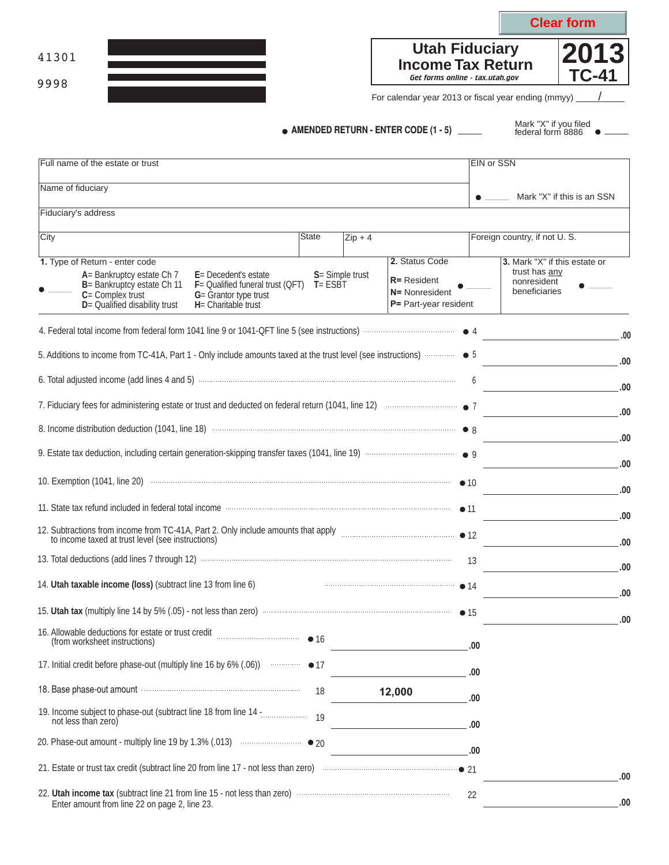|                                                                                                                                                                                                                                                                             |              |                    |                                                                                      |                   |                                               | <b>Clear form</b>             |
|-----------------------------------------------------------------------------------------------------------------------------------------------------------------------------------------------------------------------------------------------------------------------------|--------------|--------------------|--------------------------------------------------------------------------------------|-------------------|-----------------------------------------------|-------------------------------|
| 41301                                                                                                                                                                                                                                                                       |              |                    | <b>Utah Fiduciary</b><br><b>Income Tax Return</b><br>Get forms online - tax.utah.gov |                   |                                               | 2013<br>TC-41                 |
| 9998                                                                                                                                                                                                                                                                        |              |                    | For calendar year 2013 or fiscal year ending (mmyy) _                                |                   |                                               |                               |
|                                                                                                                                                                                                                                                                             |              |                    | $\bullet$ AMENDED RETURN - ENTER CODE (1 - 5) _____                                  |                   | Mark "X" if you filed<br>federal form 8886    |                               |
| Full name of the estate or trust                                                                                                                                                                                                                                            |              |                    |                                                                                      | <b>EIN or SSN</b> |                                               |                               |
| Name of fiduciary                                                                                                                                                                                                                                                           |              |                    |                                                                                      |                   |                                               |                               |
| Fiduciary's address                                                                                                                                                                                                                                                         |              |                    |                                                                                      |                   |                                               | Mark "X" if this is an SSN    |
| City                                                                                                                                                                                                                                                                        | <b>State</b> | $\mathsf{Zip} + 4$ |                                                                                      |                   | Foreign country, if not U.S.                  |                               |
| 1. Type of Return - enter code<br>A= Bankruptcy estate Ch 7<br>E= Decedent's estate<br>B= Bankruptcy estate Ch 11<br>$F =$ Qualified funeral trust (QFT) $T = ESBT$<br>$C =$ Complex trust<br>G= Grantor type trust<br>D= Qualified disability trust<br>H= Charitable trust |              | S= Simple trust    | 2. Status Code<br>$R$ = Resident<br>N= Nonresident<br>P= Part-year resident          |                   | trust has any<br>nonresident<br>beneficiaries | 3. Mark "X" if this estate or |
|                                                                                                                                                                                                                                                                             |              |                    |                                                                                      |                   |                                               | .00                           |
|                                                                                                                                                                                                                                                                             |              |                    |                                                                                      |                   |                                               | .00                           |
| 6. Total adjusted income (add lines 4 and 5) Martin Communication and the contract of the contract of the contract of the contract of the contract of the contract of the contract of the contract of the contract of the cont                                              |              |                    |                                                                                      | 6                 |                                               | .00                           |
|                                                                                                                                                                                                                                                                             |              |                    |                                                                                      |                   |                                               | .00                           |
|                                                                                                                                                                                                                                                                             |              |                    |                                                                                      |                   |                                               |                               |
|                                                                                                                                                                                                                                                                             |              |                    |                                                                                      |                   |                                               | .00                           |
| 10. Exemption (1041, line 20) <b>Constitution</b> and the contract of the contract of the contract of the contract of the contract of the contract of the contract of the contract of the contract of the contract of the contract                                          |              |                    |                                                                                      | $\bullet$ 10      |                                               | .00                           |
| 11. State tax refund included in federal total income manufactured and contained and the tax refund included in federal total income manufactured and the state of the state of the state of the state of the state of the sta                                              |              |                    |                                                                                      | $\bullet$ 11      |                                               | .00                           |
| 12. Subtractions from income from TC-41A, Part 2. Only include amounts that apply <i>manual manual merces</i> of 12                                                                                                                                                         |              |                    |                                                                                      |                   |                                               | .00                           |
| to income taxed at trust level (see instructions)                                                                                                                                                                                                                           |              |                    |                                                                                      | 13                |                                               | .00                           |
| 14. Utah taxable income (loss) (subtract line 13 from line 6)                                                                                                                                                                                                               |              |                    | <u>14</u>                                                                            |                   |                                               | .00                           |
|                                                                                                                                                                                                                                                                             |              |                    |                                                                                      |                   |                                               | .00                           |
| (from worksheet instructions)                                                                                                                                                                                                                                               |              |                    |                                                                                      |                   |                                               | .00                           |
|                                                                                                                                                                                                                                                                             |              |                    | <u> 1989 - Johann Barn, mars eta bainar eta idazlea (</u>                            | .00               |                                               |                               |
| 18. Base phase-out amount manufactured and the phase out amount of the manufactured and the Base phase-out amount                                                                                                                                                           | 18           |                    | 12,000                                                                               | .00               |                                               |                               |
|                                                                                                                                                                                                                                                                             |              |                    |                                                                                      | .00               |                                               |                               |
| not less than zero)                                                                                                                                                                                                                                                         |              |                    | <u> 1989 - Johann Barn, mars et al. (b. 1989)</u>                                    | .00               |                                               |                               |
|                                                                                                                                                                                                                                                                             |              |                    |                                                                                      | .00               |                                               |                               |
|                                                                                                                                                                                                                                                                             |              |                    |                                                                                      |                   |                                               | .00                           |
| 22. Utah income tax (subtract line 21 from line 15 - not less than zero) manufactured income tax (subtract line 21 from line 15 - not less than zero)<br>Enter amount from line 22 on page 2, line 23.                                                                      |              |                    |                                                                                      | 22                |                                               | .00                           |